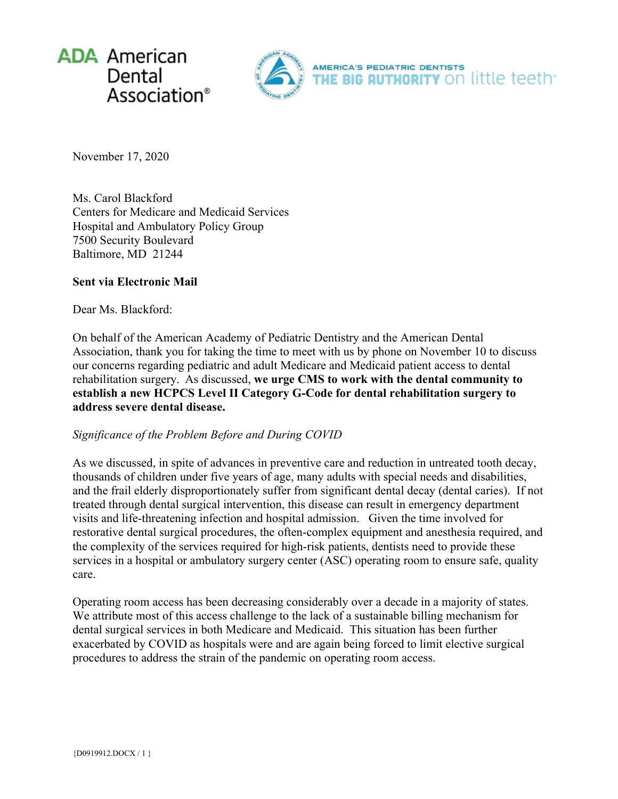



November 17, 2020

Ms. Carol Blackford Centers for Medicare and Medicaid Services Hospital and Ambulatory Policy Group 7500 Security Boulevard Baltimore, MD 21244

### **Sent via Electronic Mail**

Dear Ms. Blackford:

On behalf of the American Academy of Pediatric Dentistry and the American Dental Association, thank you for taking the time to meet with us by phone on November 10 to discuss our concerns regarding pediatric and adult Medicare and Medicaid patient access to dental rehabilitation surgery. As discussed, **we urge CMS to work with the dental community to establish a new HCPCS Level II Category G-Code for dental rehabilitation surgery to address severe dental disease.**

# *Significance of the Problem Before and During COVID*

As we discussed, in spite of advances in preventive care and reduction in untreated tooth decay, thousands of children under five years of age, many adults with special needs and disabilities, and the frail elderly disproportionately suffer from significant dental decay (dental caries). If not treated through dental surgical intervention, this disease can result in emergency department visits and life-threatening infection and hospital admission. Given the time involved for restorative dental surgical procedures, the often-complex equipment and anesthesia required, and the complexity of the services required for high-risk patients, dentists need to provide these services in a hospital or ambulatory surgery center (ASC) operating room to ensure safe, quality care.

Operating room access has been decreasing considerably over a decade in a majority of states. We attribute most of this access challenge to the lack of a sustainable billing mechanism for dental surgical services in both Medicare and Medicaid. This situation has been further exacerbated by COVID as hospitals were and are again being forced to limit elective surgical procedures to address the strain of the pandemic on operating room access.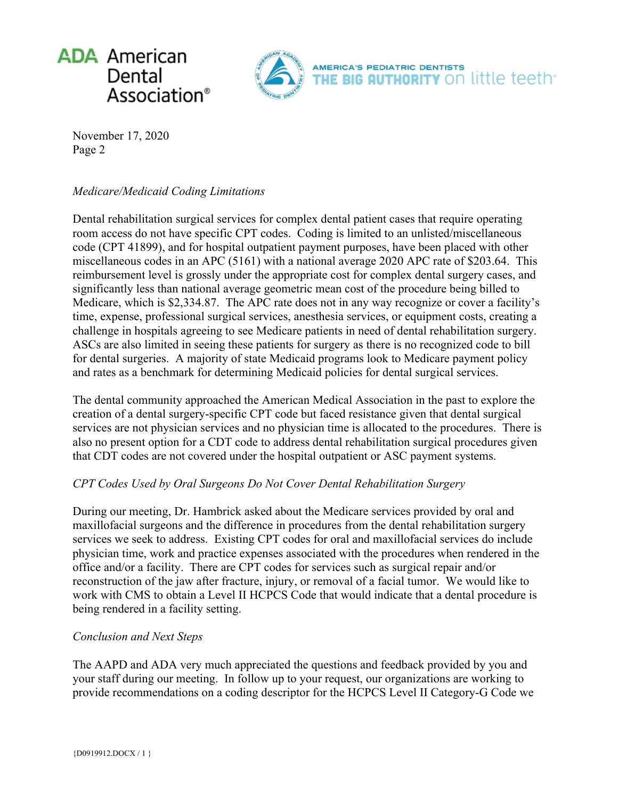



November 17, 2020 Page 2

## *Medicare/Medicaid Coding Limitations*

Dental rehabilitation surgical services for complex dental patient cases that require operating room access do not have specific CPT codes. Coding is limited to an unlisted/miscellaneous code (CPT 41899), and for hospital outpatient payment purposes, have been placed with other miscellaneous codes in an APC (5161) with a national average 2020 APC rate of \$203.64. This reimbursement level is grossly under the appropriate cost for complex dental surgery cases, and significantly less than national average geometric mean cost of the procedure being billed to Medicare, which is \$2,334.87. The APC rate does not in any way recognize or cover a facility's time, expense, professional surgical services, anesthesia services, or equipment costs, creating a challenge in hospitals agreeing to see Medicare patients in need of dental rehabilitation surgery. ASCs are also limited in seeing these patients for surgery as there is no recognized code to bill for dental surgeries. A majority of state Medicaid programs look to Medicare payment policy and rates as a benchmark for determining Medicaid policies for dental surgical services.

The dental community approached the American Medical Association in the past to explore the creation of a dental surgery-specific CPT code but faced resistance given that dental surgical services are not physician services and no physician time is allocated to the procedures. There is also no present option for a CDT code to address dental rehabilitation surgical procedures given that CDT codes are not covered under the hospital outpatient or ASC payment systems.

# *CPT Codes Used by Oral Surgeons Do Not Cover Dental Rehabilitation Surgery*

During our meeting, Dr. Hambrick asked about the Medicare services provided by oral and maxillofacial surgeons and the difference in procedures from the dental rehabilitation surgery services we seek to address. Existing CPT codes for oral and maxillofacial services do include physician time, work and practice expenses associated with the procedures when rendered in the office and/or a facility. There are CPT codes for services such as surgical repair and/or reconstruction of the jaw after fracture, injury, or removal of a facial tumor. We would like to work with CMS to obtain a Level II HCPCS Code that would indicate that a dental procedure is being rendered in a facility setting.

#### *Conclusion and Next Steps*

The AAPD and ADA very much appreciated the questions and feedback provided by you and your staff during our meeting. In follow up to your request, our organizations are working to provide recommendations on a coding descriptor for the HCPCS Level II Category-G Code we